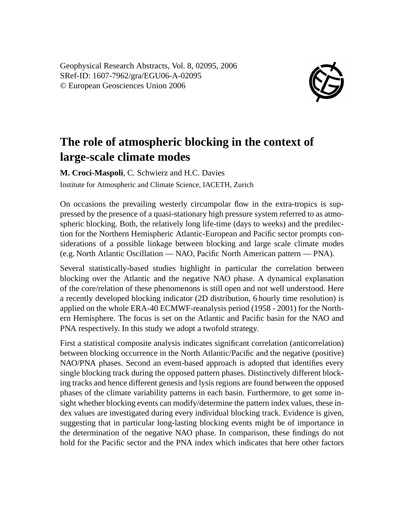Geophysical Research Abstracts, Vol. 8, 02095, 2006 SRef-ID: 1607-7962/gra/EGU06-A-02095 © European Geosciences Union 2006



## **The role of atmospheric blocking in the context of large-scale climate modes**

**M. Croci-Maspoli**, C. Schwierz and H.C. Davies Institute for Atmospheric and Climate Science, IACETH, Zurich

On occasions the prevailing westerly circumpolar flow in the extra-tropics is suppressed by the presence of a quasi-stationary high pressure system referred to as atmospheric blocking. Both, the relatively long life-time (days to weeks) and the predilection for the Northern Hemispheric Atlantic-European and Pacific sector prompts considerations of a possible linkage between blocking and large scale climate modes (e.g. North Atlantic Oscillation — NAO, Pacific North American pattern — PNA).

Several statistically-based studies highlight in particular the correlation between blocking over the Atlantic and the negative NAO phase. A dynamical explanation of the core/relation of these phenomenons is still open and not well understood. Here a recently developed blocking indicator (2D distribution, 6 hourly time resolution) is applied on the whole ERA-40 ECMWF-reanalysis period (1958 - 2001) for the Northern Hemisphere. The focus is set on the Atlantic and Pacific basin for the NAO and PNA respectively. In this study we adopt a twofold strategy.

First a statistical composite analysis indicates significant correlation (anticorrelation) between blocking occurrence in the North Atlantic/Pacific and the negative (positive) NAO/PNA phases. Second an event-based approach is adopted that identifies every single blocking track during the opposed pattern phases. Distinctively different blocking tracks and hence different genesis and lysis regions are found between the opposed phases of the climate variability patterns in each basin. Furthermore, to get some insight whether blocking events can modify/determine the pattern index values, these index values are investigated during every individual blocking track. Evidence is given, suggesting that in particular long-lasting blocking events might be of importance in the determination of the negative NAO phase. In comparison, these findings do not hold for the Pacific sector and the PNA index which indicates that here other factors